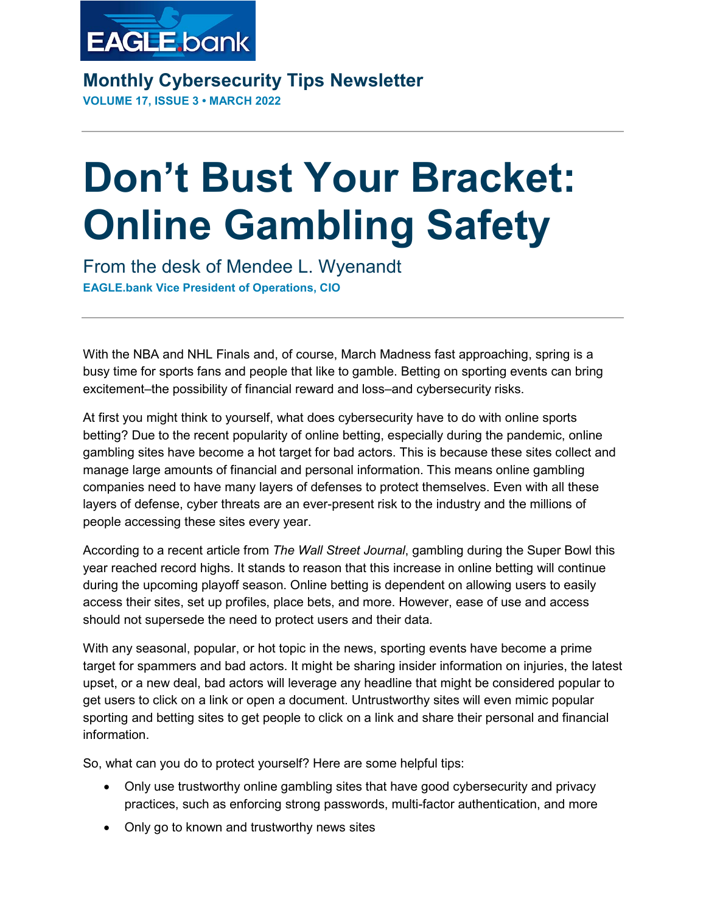

**Monthly Cybersecurity Tips Newsletter VOLUME 17, ISSUE 3 • MARCH 2022**

## **Don't Bust Your Bracket: Online Gambling Safety**

From the desk of Mendee L. Wyenandt **EAGLE.bank Vice President of Operations, CIO**

With the NBA and NHL Finals and, of course, March Madness fast approaching, spring is a busy time for sports fans and people that like to gamble. Betting on sporting events can bring excitement–the possibility of financial reward and loss–and cybersecurity risks.

At first you might think to yourself, what does cybersecurity have to do with online sports betting? Due to the recent popularity of online betting, especially during the pandemic, online gambling sites have become a hot target for bad actors. This is because these sites collect and manage large amounts of financial and personal information. This means online gambling companies need to have many layers of defenses to protect themselves. Even with all these layers of defense, cyber threats are an ever-present risk to the industry and the millions of people accessing these sites every year.

According to a recent article from *The Wall Street Journal*, gambling during the Super Bowl this year reached record highs. It stands to reason that this increase in online betting will continue during the upcoming playoff season. Online betting is dependent on allowing users to easily access their sites, set up profiles, place bets, and more. However, ease of use and access should not supersede the need to protect users and their data.

With any seasonal, popular, or hot topic in the news, sporting events have become a prime target for spammers and bad actors. It might be sharing insider information on injuries, the latest upset, or a new deal, bad actors will leverage any headline that might be considered popular to get users to click on a link or open a document. Untrustworthy sites will even mimic popular sporting and betting sites to get people to click on a link and share their personal and financial information.

So, what can you do to protect yourself? Here are some helpful tips:

- Only use trustworthy online gambling sites that have good cybersecurity and privacy practices, such as enforcing strong passwords, multi-factor authentication, and more
- Only go to known and trustworthy news sites